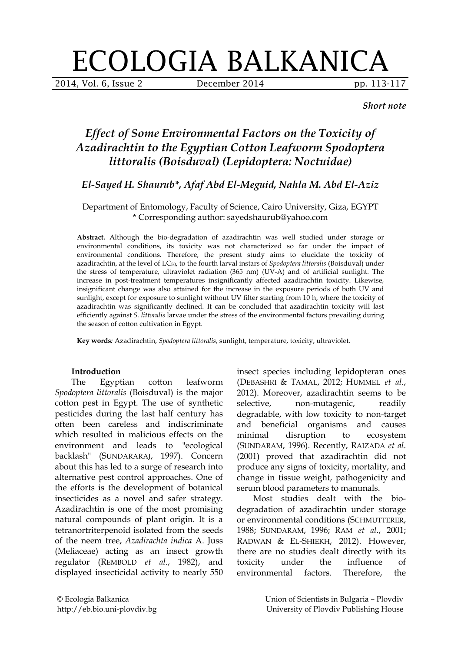# ECOLOGIA BALKANICA

2014, Vol. 6, Issue 2 **December 2014** pp. 113-117

*Short note*

# *Effect of Some Environmental Factors on the Toxicity of Azadirachtin to the Egyptian Cotton Leafworm Spodoptera littoralis (Boisduval) (Lepidoptera: Noctuidae)*

# *El-Sayed H. Shaurub\*, Afaf Abd El-Meguid, Nahla M. Abd El-Aziz*

### Department of Entomology, Faculty of Science, Cairo University, Giza, EGYPT \* Corresponding author: sayedshaurub@yahoo.com

**Abstract.** Although the bio-degradation of azadirachtin was well studied under storage or environmental conditions, its toxicity was not characterized so far under the impact of environmental conditions. Therefore, the present study aims to elucidate the toxicity of azadirachtin, at the level of LC50, to the fourth larval instars of *Spodoptera littoralis* (Boisduval) under the stress of temperature, ultraviolet radiation (365 nm) (UV-A) and of artificial sunlight. The increase in post-treatment temperatures insignificantly affected azadirachtin toxicity. Likewise, insignificant change was also attained for the increase in the exposure periods of both UV and sunlight, except for exposure to sunlight without UV filter starting from 10 h, where the toxicity of azadirachtin was significantly declined. It can be concluded that azadirachtin toxicity will last efficiently against *S. littoralis* larvae under the stress of the environmental factors prevailing during the season of cotton cultivation in Egypt.

**Key words***:* Azadirachtin, *Spodoptera littoralis*, sunlight, temperature, toxicity, ultraviolet.

#### **Introduction**

The Egyptian cotton leafworm *Spodoptera littoralis* (Boisduval) is the major cotton pest in Egypt. The use of synthetic pesticides during the last half century has often been careless and indiscriminate which resulted in malicious effects on the environment and leads to "ecological backlash" (SUNDARARAJ, 1997). Concern about this has led to a surge of research into alternative pest control approaches. One of the efforts is the development of botanical insecticides as a novel and safer strategy. Azadirachtin is one of the most promising natural compounds of plant origin. It is a tetranortriterpenoid isolated from the seeds of the neem tree, *Azadirachta indica* A. Juss (Meliaceae) acting as an insect growth regulator (REMBOLD *et al*., 1982), and displayed insecticidal activity to nearly 550

insect species including lepidopteran ones (DEBASHRI & TAMAL, 2012; HUMMEL *et al*., 2012). Moreover, azadirachtin seems to be selective, non-mutagenic, readily degradable, with low toxicity to non-target and beneficial organisms and causes minimal disruption to ecosystem (SUNDARAM, 1996). Recently, RAIZADA *et al*. (2001) proved that azadirachtin did not produce any signs of toxicity, mortality, and change in tissue weight, pathogenicity and serum blood parameters to mammals.

Most studies dealt with the biodegradation of azadirachtin under storage or environmental conditions (SCHMUTTERER, 1988; SUNDARAM, 1996; RAM *et al*., 2001; RADWAN & EL-SHIEKH, 2012). However, there are no studies dealt directly with its toxicity under the influence of environmental factors. Therefore, the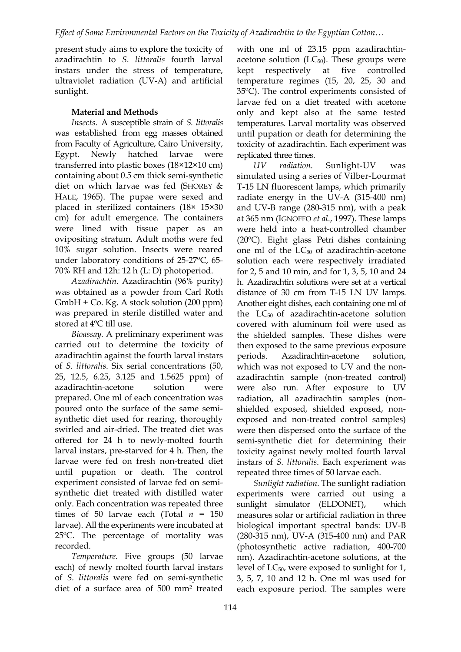present study aims to explore the toxicity of azadirachtin to *S*. *littoralis* fourth larval instars under the stress of temperature, ultraviolet radiation (UV-A) and artificial sunlight.

# **Material and Methods**

*Insects.* A susceptible strain of *S. littoralis* was established from egg masses obtained from Faculty of Agriculture, Cairo University, Egypt. Newly hatched larvae were transferred into plastic boxes (18×12×10 cm) containing about 0.5 cm thick semi-synthetic diet on which larvae was fed (SHOREY & HALE, 1965). The pupae were sexed and placed in sterilized containers (18× 15×30 cm) for adult emergence. The containers were lined with tissue paper as an ovipositing stratum. Adult moths were fed 10% sugar solution. Insects were reared under laboratory conditions of 25-27ºC, 65- 70% RH and 12h: 12 h (L: D) photoperiod.

*Azadirachtin.* Azadirachtin (96% purity) was obtained as a powder from Carl Roth GmbH + Co. Kg. A stock solution (200 ppm) was prepared in sterile distilled water and stored at 4ºC till use.

*Bioassay.* A preliminary experiment was carried out to determine the toxicity of azadirachtin against the fourth larval instars of *S. littoralis*. Six serial concentrations (50, 25, 12.5, 6.25, 3.125 and 1.5625 ppm) of azadirachtin-acetone solution were prepared. One ml of each concentration was poured onto the surface of the same semisynthetic diet used for rearing, thoroughly swirled and air-dried. The treated diet was offered for 24 h to newly-molted fourth larval instars, pre-starved for 4 h. Then, the larvae were fed on fresh non-treated diet until pupation or death. The control experiment consisted of larvae fed on semisynthetic diet treated with distilled water only. Each concentration was repeated three times of 50 larvae each (Total  $n = 150$ larvae). All the experiments were incubated at 25ºC. The percentage of mortality was recorded.

*Temperature.* Five groups (50 larvae each) of newly molted fourth larval instars of *S. littoralis* were fed on semi-synthetic diet of a surface area of 500 mm2 treated

with one ml of 23.15 ppm azadirachtinacetone solution ( $LC_{50}$ ). These groups were kept respectively at five controlled temperature regimes (15, 20, 25, 30 and 35ºC). The control experiments consisted of larvae fed on a diet treated with acetone only and kept also at the same tested temperatures. Larval mortality was observed until pupation or death for determining the toxicity of azadirachtin. Each experiment was replicated three times.

*UV radiation.* Sunlight-UV was simulated using a series of Vilber-Lourmat T-15 LN fluorescent lamps, which primarily radiate energy in the UV-A (315-400 nm) and UV-B range (280-315 nm), with a peak at 365 nm (IGNOFFO *et al*., 1997). These lamps were held into a heat-controlled chamber (20ºC). Eight glass Petri dishes containing one ml of the  $LC_{50}$  of azadirachtin-acetone solution each were respectively irradiated for 2, 5 and 10 min, and for 1, 3, 5, 10 and 24 h. Azadirachtin solutions were set at a vertical distance of 30 cm from T-15 LN UV lamps. Another eight dishes, each containing one ml of the LC50 of azadirachtin-acetone solution covered with aluminum foil were used as the shielded samples. These dishes were then exposed to the same previous exposure periods. Azadirachtin-acetone solution, which was not exposed to UV and the nonazadirachtin sample (non-treated control) were also run. After exposure to UV radiation, all azadirachtin samples (nonshielded exposed, shielded exposed, nonexposed and non-treated control samples) were then dispersed onto the surface of the semi-synthetic diet for determining their toxicity against newly molted fourth larval instars of *S. littoralis*. Each experiment was repeated three times of 50 larvae each.

*Sunlight radiation.* The sunlight radiation experiments were carried out using a sunlight simulator (ELDONET), which measures solar or artificial radiation in three biological important spectral bands: UV-B (280-315 nm), UV-A (315-400 nm) and PAR (photosynthetic active radiation, 400-700 nm). Azadirachtin-acetone solutions, at the level of LC<sub>50</sub>, were exposed to sunlight for 1, 3, 5, 7, 10 and 12 h. One ml was used for each exposure period. The samples were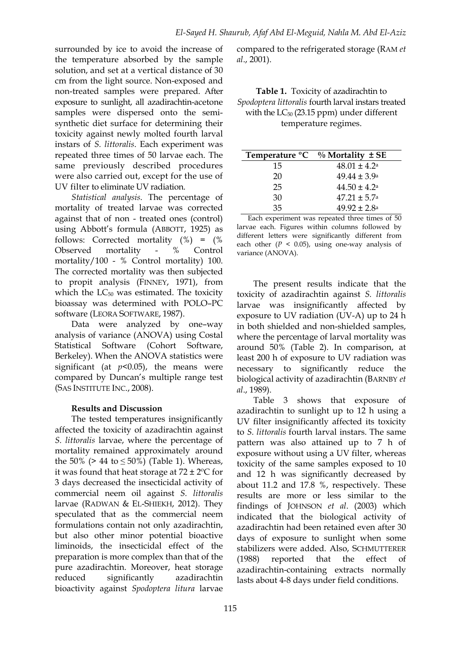surrounded by ice to avoid the increase of the temperature absorbed by the sample solution, and set at a vertical distance of 30 cm from the light source. Non-exposed and non-treated samples were prepared. After exposure to sunlight, all azadirachtin-acetone samples were dispersed onto the semisynthetic diet surface for determining their toxicity against newly molted fourth larval instars of *S. littoralis*. Each experiment was repeated three times of 50 larvae each. The same previously described procedures were also carried out, except for the use of UV filter to eliminate UV radiation.

*Statistical analysis.* The percentage of mortality of treated larvae was corrected against that of non - treated ones (control) using Abbott's formula (ABBOTT, 1925) as follows: Corrected mortality (%) = (% Observed mortality - % Control mortality/100 - % Control mortality) 100. The corrected mortality was then subjected to propit analysis (FINNEY, 1971), from which the  $LC_{50}$  was estimated. The toxicity bioassay was determined with POLO–PC software (LEORA SOFTWARE, 1987).

Data were analyzed by one–way analysis of variance (ANOVA) using Costal Statistical Software (Cohort Software, Berkeley). When the ANOVA statistics were significant (at  $p<0.05$ ), the means were compared by Duncan's multiple range test (SAS INSTITUTE INC., 2008).

## **Results and Discussion**

The tested temperatures insignificantly affected the toxicity of azadirachtin against *S. littoralis* larvae, where the percentage of mortality remained approximately around the 50% (> 44 to ≤ 50%) (Table 1). Whereas, it was found that heat storage at  $72 \pm 2$ <sup>o</sup>C for 3 days decreased the insecticidal activity of commercial neem oil against *S. littoralis* larvae (RADWAN & EL-SHIEKH, 2012). They speculated that as the commercial neem formulations contain not only azadirachtin, but also other minor potential bioactive liminoids, the insecticidal effect of the preparation is more complex than that of the pure azadirachtin. Moreover, heat storage reduced significantly azadirachtin bioactivity against *Spodoptera litura* larvae

compared to the refrigerated storage (RAM *et al*., 2001).

**Table 1.** Toxicity of azadirachtin to *Spodoptera littoralis* fourth larval instars treated with the  $LC_{50}$  (23.15 ppm) under different temperature regimes.

| Temperature <sup>o</sup> C | $\%$ Mortality $\pm$ SE |
|----------------------------|-------------------------|
| 15                         | $48.01 \pm 4.2^{\circ}$ |
| 20                         | $49.44 \pm 3.9^{\circ}$ |
| 25                         | $44.50 \pm 4.2^{\circ}$ |
| 30                         | $47.21 \pm 5.7^{\circ}$ |
| 35                         | $49.92 + 2.8a$          |

Each experiment was repeated three times of 50 larvae each. Figures within columns followed by different letters were significantly different from each other  $(P < 0.05)$ , using one-way analysis of variance (ANOVA).

The present results indicate that the toxicity of azadirachtin against *S. littoralis* larvae was insignificantly affected by exposure to UV radiation (UV-A) up to 24 h in both shielded and non-shielded samples, where the percentage of larval mortality was around 50% (Table 2). In comparison, at least 200 h of exposure to UV radiation was necessary to significantly reduce the biological activity of azadirachtin (BARNBY *et al*., 1989).

Table 3 shows that exposure of azadirachtin to sunlight up to 12 h using a UV filter insignificantly affected its toxicity to *S. littoralis* fourth larval instars. The same pattern was also attained up to 7 h of exposure without using a UV filter, whereas toxicity of the same samples exposed to 10 and 12 h was significantly decreased by about 11.2 and 17.8 %, respectively. These results are more or less similar to the findings of JOHNSON *et al*. (2003) which indicated that the biological activity of azadirachtin had been retained even after 30 days of exposure to sunlight when some stabilizers were added. Also, SCHMUTTERER (1988) reported that the effect of azadirachtin-containing extracts normally lasts about 4-8 days under field conditions.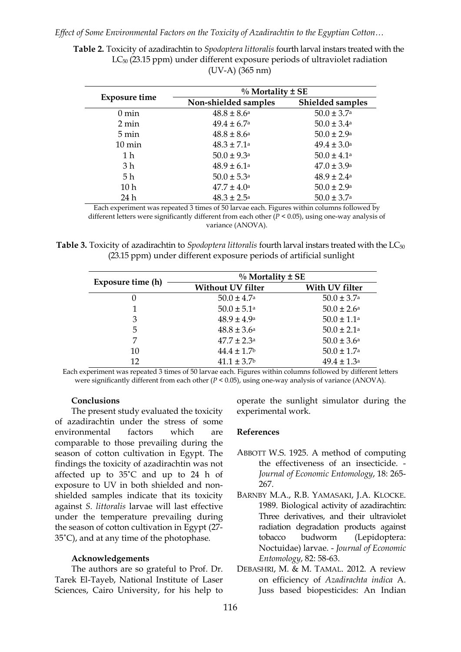*Effect of Some Environmental Factors on the Toxicity of Azadirachtin to the Egyptian Cotton…*

**Table 2.** Toxicity of azadirachtin to *Spodoptera littoralis* fourth larval instars treated with the LC50 (23.15 ppm) under different exposure periods of ultraviolet radiation (UV-A) (365 nm)

| <b>Exposure time</b> | $\%$ Mortality $\pm$ SE     |                             |  |
|----------------------|-----------------------------|-----------------------------|--|
|                      | Non-shielded samples        | Shielded samples            |  |
| $0 \text{ min}$      | $48.8 \pm 8.6^{\circ}$      | $50.0 \pm 3.7$ <sup>a</sup> |  |
| 2 min                | $49.4 \pm 6.7$ <sup>a</sup> | $50.0 \pm 3.4$ <sup>a</sup> |  |
| $5 \text{ min}$      | $48.8 \pm 8.6^{\circ}$      | $50.0 \pm 2.9^{\circ}$      |  |
| $10 \text{ min}$     | $48.3 \pm 7.1$ <sup>a</sup> | $49.4 \pm 3.0^{\circ}$      |  |
| 1 h                  | $50.0 \pm 9.3$ <sup>a</sup> | $50.0 \pm 4.1$ <sup>a</sup> |  |
| 3 h                  | $48.9 \pm 6.1^{\circ}$      | $47.0 \pm 3.9^{\circ}$      |  |
| 5 h                  | $50.0 \pm 5.3^{\circ}$      | $48.9 \pm 2.4^{\circ}$      |  |
| 10 <sub>h</sub>      | $47.7 \pm 4.0^{\circ}$      | $50.0 \pm 2.9^{\circ}$      |  |
| 24 h                 | $48.3 \pm 2.5^{\circ}$      | $50.0 \pm 3.7$ <sup>a</sup> |  |

Each experiment was repeated 3 times of 50 larvae each. Figures within columns followed by different letters were significantly different from each other (*P* < 0.05), using one-way analysis of variance (ANOVA).

**Table 3.** Toxicity of azadirachtin to *Spodoptera littoralis* fourth larval instars treated with the LC<sub>50</sub> (23.15 ppm) under different exposure periods of artificial sunlight

| Exposure time (h) | $\%$ Mortality $\pm$ SE     |                             |  |
|-------------------|-----------------------------|-----------------------------|--|
|                   | <b>Without UV filter</b>    | With UV filter              |  |
| $\theta$          | $50.0 \pm 4.7$ <sup>a</sup> | $50.0 \pm 3.7$ <sup>a</sup> |  |
|                   | $50.0 \pm 5.1$ <sup>a</sup> | $50.0 \pm 2.6^{\circ}$      |  |
| 3                 | $48.9 \pm 4.9^{\circ}$      | $50.0 \pm 1.1$ <sup>a</sup> |  |
| 5                 | $48.8 \pm 3.6^{\rm a}$      | $50.0 \pm 2.1$ <sup>a</sup> |  |
|                   | $47.7 \pm 2.3^{\circ}$      | $50.0 \pm 3.6^{\circ}$      |  |
| 10                | $44.4 \pm 1.7$              | $50.0 \pm 1.7$ <sup>a</sup> |  |
| 12                | $41.1 \pm 3.7$ <sup>b</sup> | $49.4 \pm 1.3^a$            |  |

Each experiment was repeated 3 times of 50 larvae each. Figures within columns followed by different letters were significantly different from each other (*P* < 0.05), using one-way analysis of variance (ANOVA).

#### **Conclusions**

The present study evaluated the toxicity of azadirachtin under the stress of some environmental factors which are comparable to those prevailing during the season of cotton cultivation in Egypt. The findings the toxicity of azadirachtin was not affected up to 35˚C and up to 24 h of exposure to UV in both shielded and nonshielded samples indicate that its toxicity against *S. littoralis* larvae will last effective under the temperature prevailing during the season of cotton cultivation in Egypt (27- 35˚C), and at any time of the photophase*.*

#### **Acknowledgements**

The authors are so grateful to Prof. Dr. Tarek El-Tayeb, National Institute of Laser Sciences, Cairo University, for his help to

operate the sunlight simulator during the experimental work.

#### **References**

- ABBOTT W.S. 1925. A method of computing the effectiveness of an insecticide. - *Journal of Economic Entomology*, 18: 265- 267.
- BARNBY M.A., R.B. YAMASAKI, J.A. KLOCKE. 1989. Biological activity of azadirachtin: Three derivatives, and their ultraviolet radiation degradation products against tobacco budworm (Lepidoptera: Noctuidae) larvae. - *Journal of Economic Entomology*, 82: 58-63.
- DEBASHRI, M. & M. TAMAL. 2012. A review on efficiency of *Azadirachta indica* A. Juss based biopesticides: An Indian